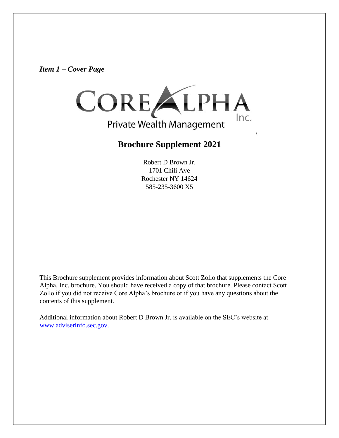*Item 1 – Cover Page* 



# **Brochure Supplement 2021**

 $\setminus$ 

Robert D Brown Jr. 1701 Chili Ave Rochester NY 14624 585-235-3600 X5

This Brochure supplement provides information about Scott Zollo that supplements the Core Alpha, Inc. brochure. You should have received a copy of that brochure. Please contact Scott Zollo if you did not receive Core Alpha's brochure or if you have any questions about the contents of this supplement.

Additional information about Robert D Brown Jr. is available on the SEC's website at www.adviserinfo.sec.gov.